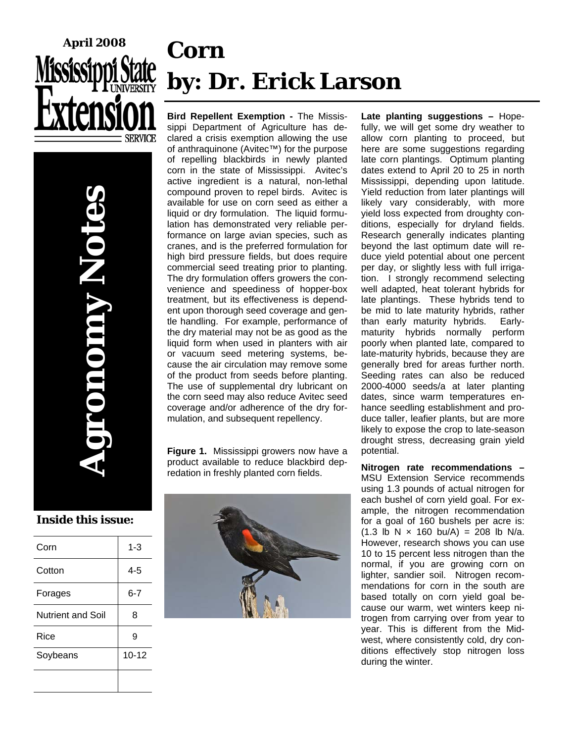

# **Corn by: Dr. Erick Larson**

**Bird Repellent Exemption -** The Mississippi Department of Agriculture has declared a crisis exemption allowing the use of anthraquinone (Avitec™) for the purpose of repelling blackbirds in newly planted corn in the state of Mississippi. Avitec's active ingredient is a natural, non-lethal compound proven to repel birds. Avitec is available for use on corn seed as either a liquid or dry formulation. The liquid formulation has demonstrated very reliable performance on large avian species, such as cranes, and is the preferred formulation for high bird pressure fields, but does require commercial seed treating prior to planting. The dry formulation offers growers the convenience and speediness of hopper-box treatment, but its effectiveness is dependent upon thorough seed coverage and gentle handling. For example, performance of the dry material may not be as good as the liquid form when used in planters with air or vacuum seed metering systems, because the air circulation may remove some of the product from seeds before planting. The use of supplemental dry lubricant on the corn seed may also reduce Avitec seed coverage and/or adherence of the dry formulation, and subsequent repellency.

**Figure 1.** Mississippi growers now have a product available to reduce blackbird depredation in freshly planted corn fields.



**Late planting suggestions –** Hopefully, we will get some dry weather to allow corn planting to proceed, but here are some suggestions regarding late corn plantings. Optimum planting dates extend to April 20 to 25 in north Mississippi, depending upon latitude. Yield reduction from later plantings will likely vary considerably, with more yield loss expected from droughty conditions, especially for dryland fields. Research generally indicates planting beyond the last optimum date will reduce yield potential about one percent per day, or slightly less with full irrigation. I strongly recommend selecting well adapted, heat tolerant hybrids for late plantings. These hybrids tend to be mid to late maturity hybrids, rather than early maturity hybrids. Earlymaturity hybrids normally perform poorly when planted late, compared to late-maturity hybrids, because they are generally bred for areas further north. Seeding rates can also be reduced 2000-4000 seeds/a at later planting dates, since warm temperatures enhance seedling establishment and produce taller, leafier plants, but are more likely to expose the crop to late-season drought stress, decreasing grain yield potential.

**Nitrogen rate recommendations –** MSU Extension Service recommends using 1.3 pounds of actual nitrogen for each bushel of corn yield goal. For example, the nitrogen recommendation for a goal of 160 bushels per acre is:  $(1.3 \text{ lb N} \times 160 \text{ bu/A}) = 208 \text{ lb N/a}.$ However, research shows you can use 10 to 15 percent less nitrogen than the normal, if you are growing corn on lighter, sandier soil. Nitrogen recommendations for corn in the south are based totally on corn yield goal because our warm, wet winters keep nitrogen from carrying over from year to year. This is different from the Midwest, where consistently cold, dry conditions effectively stop nitrogen loss during the winter.

**Inside this issue:** 

**Agronomy Notes** 

UNION,

| Corn                     | 1-3       |
|--------------------------|-----------|
| Cotton                   | 4-5       |
| Forages                  | $6 - 7$   |
| <b>Nutrient and Soil</b> | 8         |
| Rice                     | 9         |
| Soybeans                 | $10 - 12$ |
|                          |           |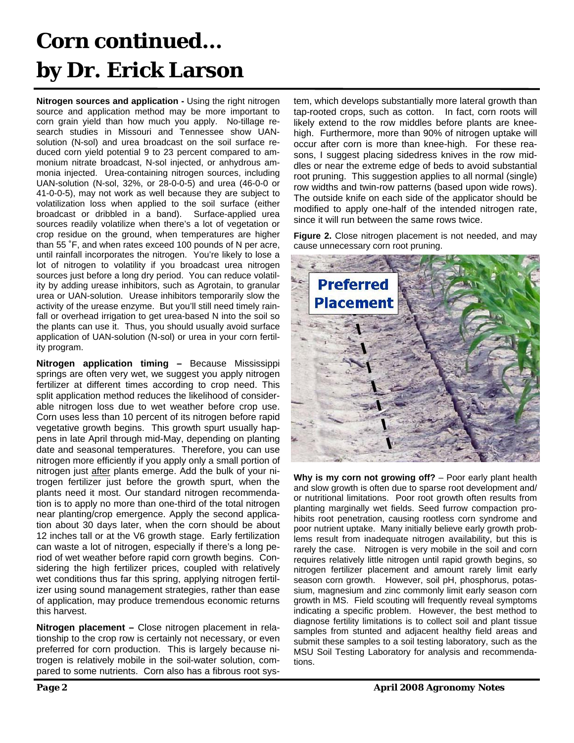## **Corn continued… by Dr. Erick Larson**

**Nitrogen sources and application -** Using the right nitrogen source and application method may be more important to corn grain yield than how much you apply. No-tillage research studies in Missouri and Tennessee show UANsolution (N-sol) and urea broadcast on the soil surface reduced corn yield potential 9 to 23 percent compared to ammonium nitrate broadcast, N-sol injected, or anhydrous ammonia injected. Urea-containing nitrogen sources, including UAN-solution (N-sol, 32%, or 28-0-0-5) and urea (46-0-0 or 41-0-0-5), may not work as well because they are subject to volatilization loss when applied to the soil surface (either broadcast or dribbled in a band). Surface-applied urea sources readily volatilize when there's a lot of vegetation or crop residue on the ground, when temperatures are higher than 55 ˚F, and when rates exceed 100 pounds of N per acre, until rainfall incorporates the nitrogen. You're likely to lose a lot of nitrogen to volatility if you broadcast urea nitrogen sources just before a long dry period. You can reduce volatility by adding urease inhibitors, such as Agrotain, to granular urea or UAN-solution. Urease inhibitors temporarily slow the activity of the urease enzyme. But you'll still need timely rainfall or overhead irrigation to get urea-based N into the soil so the plants can use it. Thus, you should usually avoid surface application of UAN-solution (N-sol) or urea in your corn fertility program.

**Nitrogen application timing –** Because Mississippi springs are often very wet, we suggest you apply nitrogen fertilizer at different times according to crop need. This split application method reduces the likelihood of considerable nitrogen loss due to wet weather before crop use. Corn uses less than 10 percent of its nitrogen before rapid vegetative growth begins. This growth spurt usually happens in late April through mid-May, depending on planting date and seasonal temperatures. Therefore, you can use nitrogen more efficiently if you apply only a small portion of nitrogen just after plants emerge. Add the bulk of your nitrogen fertilizer just before the growth spurt, when the plants need it most. Our standard nitrogen recommendation is to apply no more than one-third of the total nitrogen near planting/crop emergence. Apply the second application about 30 days later, when the corn should be about 12 inches tall or at the V6 growth stage. Early fertilization can waste a lot of nitrogen, especially if there's a long period of wet weather before rapid corn growth begins. Considering the high fertilizer prices, coupled with relatively wet conditions thus far this spring, applying nitrogen fertilizer using sound management strategies, rather than ease of application, may produce tremendous economic returns this harvest.

**Nitrogen placement –** Close nitrogen placement in relationship to the crop row is certainly not necessary, or even preferred for corn production. This is largely because nitrogen is relatively mobile in the soil-water solution, compared to some nutrients. Corn also has a fibrous root system, which develops substantially more lateral growth than tap-rooted crops, such as cotton. In fact, corn roots will likely extend to the row middles before plants are kneehigh. Furthermore, more than 90% of nitrogen uptake will occur after corn is more than knee-high. For these reasons, I suggest placing sidedress knives in the row middles or near the extreme edge of beds to avoid substantial root pruning. This suggestion applies to all normal (single) row widths and twin-row patterns (based upon wide rows). The outside knife on each side of the applicator should be modified to apply one-half of the intended nitrogen rate, since it will run between the same rows twice.

**Figure 2.** Close nitrogen placement is not needed, and may cause unnecessary corn root pruning.



**Why is my corn not growing off?** – Poor early plant health and slow growth is often due to sparse root development and/ or nutritional limitations. Poor root growth often results from planting marginally wet fields. Seed furrow compaction prohibits root penetration, causing rootless corn syndrome and poor nutrient uptake. Many initially believe early growth problems result from inadequate nitrogen availability, but this is rarely the case. Nitrogen is very mobile in the soil and corn requires relatively little nitrogen until rapid growth begins, so nitrogen fertilizer placement and amount rarely limit early season corn growth. However, soil pH, phosphorus, potassium, magnesium and zinc commonly limit early season corn growth in MS. Field scouting will frequently reveal symptoms indicating a specific problem. However, the best method to diagnose fertility limitations is to collect soil and plant tissue samples from stunted and adjacent healthy field areas and submit these samples to a soil testing laboratory, such as the MSU Soil Testing Laboratory for analysis and recommendations.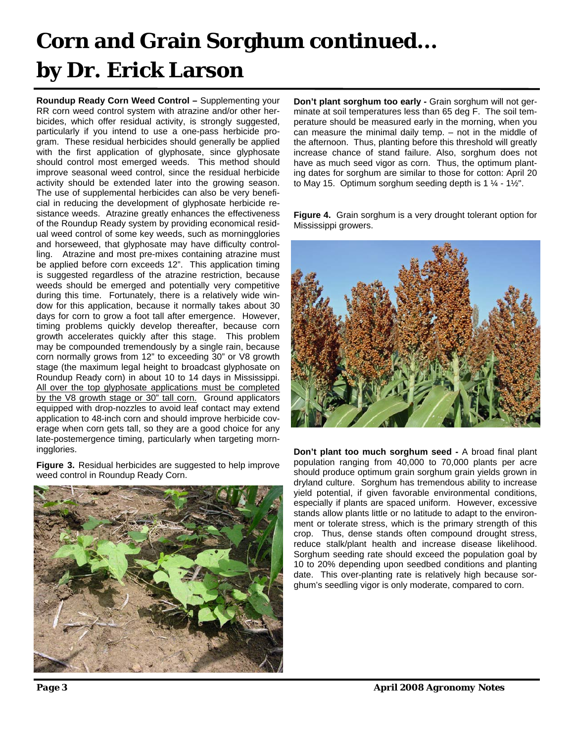## **Corn and Grain Sorghum continued... by Dr. Erick Larson**

**Roundup Ready Corn Weed Control –** Supplementing your RR corn weed control system with atrazine and/or other herbicides, which offer residual activity, is strongly suggested, particularly if you intend to use a one-pass herbicide program. These residual herbicides should generally be applied with the first application of glyphosate, since glyphosate should control most emerged weeds. This method should improve seasonal weed control, since the residual herbicide activity should be extended later into the growing season. The use of supplemental herbicides can also be very beneficial in reducing the development of glyphosate herbicide resistance weeds. Atrazine greatly enhances the effectiveness of the Roundup Ready system by providing economical residual weed control of some key weeds, such as morningglories and horseweed, that glyphosate may have difficulty controlling. Atrazine and most pre-mixes containing atrazine must be applied before corn exceeds 12". This application timing is suggested regardless of the atrazine restriction, because weeds should be emerged and potentially very competitive during this time. Fortunately, there is a relatively wide window for this application, because it normally takes about 30 days for corn to grow a foot tall after emergence. However, timing problems quickly develop thereafter, because corn growth accelerates quickly after this stage. This problem may be compounded tremendously by a single rain, because corn normally grows from 12" to exceeding 30" or V8 growth stage (the maximum legal height to broadcast glyphosate on Roundup Ready corn) in about 10 to 14 days in Mississippi. All over the top glyphosate applications must be completed by the V8 growth stage or 30" tall corn. Ground applicators equipped with drop-nozzles to avoid leaf contact may extend application to 48-inch corn and should improve herbicide coverage when corn gets tall, so they are a good choice for any late-postemergence timing, particularly when targeting morningglories.

**Figure 3.** Residual herbicides are suggested to help improve weed control in Roundup Ready Corn.



**Don't plant sorghum too early -** Grain sorghum will not germinate at soil temperatures less than 65 deg F. The soil temperature should be measured early in the morning, when you can measure the minimal daily temp. – not in the middle of the afternoon. Thus, planting before this threshold will greatly increase chance of stand failure. Also, sorghum does not have as much seed vigor as corn. Thus, the optimum planting dates for sorghum are similar to those for cotton: April 20 to May 15. Optimum sorghum seeding depth is  $1 \frac{1}{4}$  -  $1 \frac{1}{2}$ ".

**Figure 4.** Grain sorghum is a very drought tolerant option for Mississippi growers.



**Don't plant too much sorghum seed -** A broad final plant population ranging from 40,000 to 70,000 plants per acre should produce optimum grain sorghum grain yields grown in dryland culture. Sorghum has tremendous ability to increase yield potential, if given favorable environmental conditions, especially if plants are spaced uniform. However, excessive stands allow plants little or no latitude to adapt to the environment or tolerate stress, which is the primary strength of this crop. Thus, dense stands often compound drought stress, reduce stalk/plant health and increase disease likelihood. Sorghum seeding rate should exceed the population goal by 10 to 20% depending upon seedbed conditions and planting date. This over-planting rate is relatively high because sorghum's seedling vigor is only moderate, compared to corn.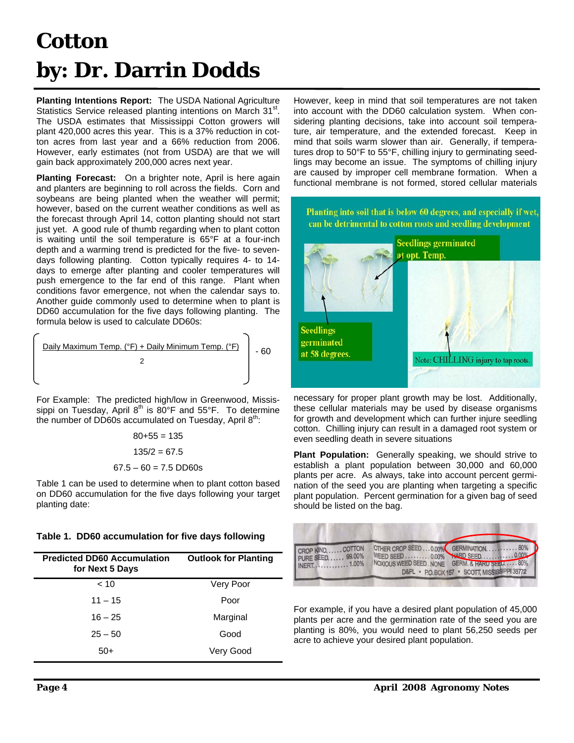## **Cotton by: Dr. Darrin Dodds**

**Planting Intentions Report:** The USDA National Agriculture Statistics Service released planting intentions on March 31<sup>st</sup>. The USDA estimates that Mississippi Cotton growers will plant 420,000 acres this year. This is a 37% reduction in cotton acres from last year and a 66% reduction from 2006. However, early estimates (not from USDA) are that we will gain back approximately 200,000 acres next year.

**Planting Forecast:** On a brighter note, April is here again and planters are beginning to roll across the fields. Corn and soybeans are being planted when the weather will permit; however, based on the current weather conditions as well as the forecast through April 14, cotton planting should not start just yet. A good rule of thumb regarding when to plant cotton is waiting until the soil temperature is 65°F at a four-inch depth and a warming trend is predicted for the five- to sevendays following planting. Cotton typically requires 4- to 14 days to emerge after planting and cooler temperatures will push emergence to the far end of this range. Plant when conditions favor emergence, not when the calendar says to. Another guide commonly used to determine when to plant is DD60 accumulation for the five days following planting. The formula below is used to calculate DD60s:



For Example: The predicted high/low in Greenwood, Mississippi on Tuesday, April  $8<sup>th</sup>$  is  $80<sup>°</sup>F$  and  $55<sup>°</sup>F$ . To determine the number of DD60s accumulated on Tuesday, April  $8<sup>th</sup>$ .

> $80+55 = 135$  $135/2 = 67.5$  $67.5 - 60 = 7.5$  DD60s

Table 1 can be used to determine when to plant cotton based on DD60 accumulation for the five days following your target planting date:

**Table 1. DD60 accumulation for five days following** 

| <b>Predicted DD60 Accumulation</b><br>for Next 5 Days | <b>Outlook for Planting</b> |
|-------------------------------------------------------|-----------------------------|
| < 10                                                  | Very Poor                   |
| $11 - 15$                                             | Poor                        |
| $16 - 25$                                             | Marginal                    |
| $25 - 50$                                             | Good                        |
| $50+$                                                 | Very Good                   |

However, keep in mind that soil temperatures are not taken into account with the DD60 calculation system. When considering planting decisions, take into account soil temperature, air temperature, and the extended forecast. Keep in mind that soils warm slower than air. Generally, if temperatures drop to 50°F to 55°F, chilling injury to germinating seedlings may become an issue. The symptoms of chilling injury are caused by improper cell membrane formation. When a functional membrane is not formed, stored cellular materials



necessary for proper plant growth may be lost. Additionally, these cellular materials may be used by disease organisms for growth and development which can further injure seedling cotton. Chilling injury can result in a damaged root system or even seedling death in severe situations

**Plant Population:** Generally speaking, we should strive to establish a plant population between 30,000 and 60,000 plants per acre. As always, take into account percent germination of the seed you are planting when targeting a specific plant population. Percent germination for a given bag of seed should be listed on the bag.



For example, if you have a desired plant population of 45,000 plants per acre and the germination rate of the seed you are planting is 80%, you would need to plant 56,250 seeds per acre to achieve your desired plant population.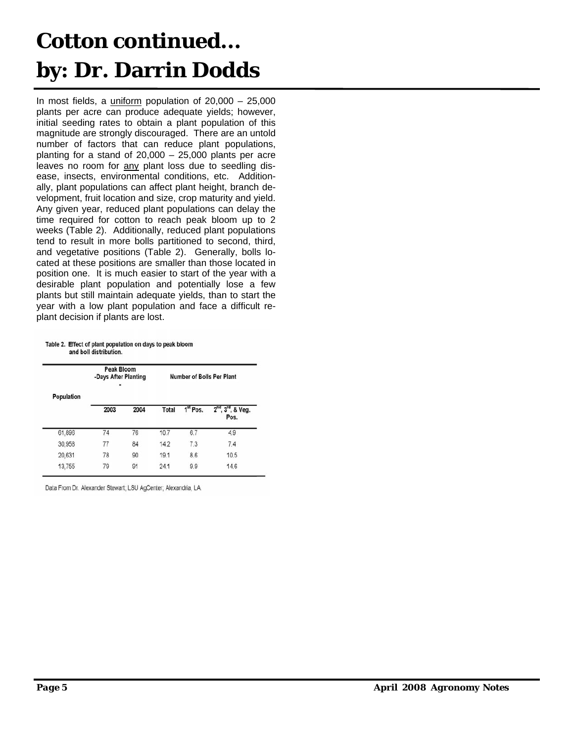## **Cotton continued... by: Dr. Darrin Dodds**

In most fields, a uniform population of  $20,000 - 25,000$ plants per acre can produce adequate yields; however, initial seeding rates to obtain a plant population of this magnitude are strongly discouraged. There are an untold number of factors that can reduce plant populations, planting for a stand of 20,000 – 25,000 plants per acre leaves no room for any plant loss due to seedling disease, insects, environmental conditions, etc. Additionally, plant populations can affect plant height, branch development, fruit location and size, crop maturity and yield. Any given year, reduced plant populations can delay the time required for cotton to reach peak bloom up to 2 weeks (Table 2). Additionally, reduced plant populations tend to result in more bolls partitioned to second, third, and vegetative positions (Table 2). Generally, bolls located at these positions are smaller than those located in position one. It is much easier to start of the year with a desirable plant population and potentially lose a few plants but still maintain adequate yields, than to start the year with a low plant population and face a difficult replant decision if plants are lost.

Table 2. Effect of plant population on days to peak bloom and boll distribution.

|            | <b>Peak Bloom</b><br>-Days After Planting<br>۰ |      |              |                      | Number of Bolls Per Plant                   |
|------------|------------------------------------------------|------|--------------|----------------------|---------------------------------------------|
| Population | 2003                                           | 2004 | <b>Total</b> | 1 <sup>st</sup> Pos. | $2nd$ .<br>3 <sup>rd</sup> , & Veg.<br>Pos. |
| 61,896     | 74                                             | 76   | 10.7         | 6.7                  | 4.9                                         |
| 30.958     | 77                                             | 84   | 14.2         | 7.3                  | 7.4                                         |
| 20,631     | 78                                             | 90   | 19.1         | 8.6                  | 10.5                                        |
| 13,755     | 79                                             | 91   | 24.1         | 9.9                  | 14.6                                        |

Data From Dr. Alexander Stewart; LSU AgCenter; Alexandria, LA.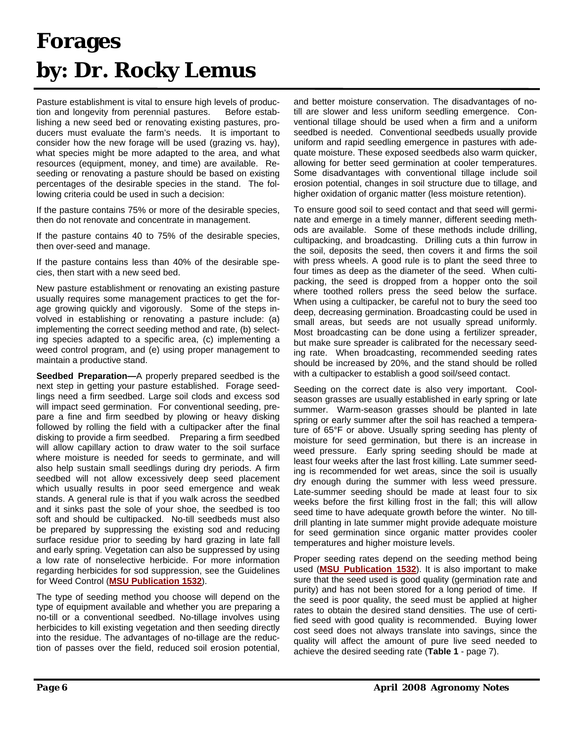## **Forages by: Dr. Rocky Lemus**

Pasture establishment is vital to ensure high levels of production and longevity from perennial pastures. Before establishing a new seed bed or renovating existing pastures, producers must evaluate the farm's needs. It is important to consider how the new forage will be used (grazing vs. hay), what species might be more adapted to the area, and what resources (equipment, money, and time) are available. Reseeding or renovating a pasture should be based on existing percentages of the desirable species in the stand. The following criteria could be used in such a decision:

If the pasture contains 75% or more of the desirable species, then do not renovate and concentrate in management.

If the pasture contains 40 to 75% of the desirable species, then over-seed and manage.

If the pasture contains less than 40% of the desirable species, then start with a new seed bed.

New pasture establishment or renovating an existing pasture usually requires some management practices to get the forage growing quickly and vigorously. Some of the steps involved in establishing or renovating a pasture include: (a) implementing the correct seeding method and rate, (b) selecting species adapted to a specific area, (c) implementing a weed control program, and (e) using proper management to maintain a productive stand.

**Seedbed Preparation—**A properly prepared seedbed is the next step in getting your pasture established. Forage seedlings need a firm seedbed. Large soil clods and excess sod will impact seed germination. For conventional seeding, prepare a fine and firm seedbed by plowing or heavy disking followed by rolling the field with a cultipacker after the final disking to provide a firm seedbed. Preparing a firm seedbed will allow capillary action to draw water to the soil surface where moisture is needed for seeds to germinate, and will also help sustain small seedlings during dry periods. A firm seedbed will not allow excessively deep seed placement which usually results in poor seed emergence and weak stands. A general rule is that if you walk across the seedbed and it sinks past the sole of your shoe, the seedbed is too soft and should be cultipacked. No-till seedbeds must also be prepared by suppressing the existing sod and reducing surface residue prior to seeding by hard grazing in late fall and early spring. Vegetation can also be suppressed by using a low rate of nonselective herbicide. For more information regarding herbicides for sod suppression, see the Guidelines for Weed Control (**MSU Publication 1532**).

The type of seeding method you choose will depend on the type of equipment available and whether you are preparing a no-till or a conventional seedbed. No-tillage involves using herbicides to kill existing vegetation and then seeding directly into the residue. The advantages of no-tillage are the reduction of passes over the field, reduced soil erosion potential,

and better moisture conservation. The disadvantages of notill are slower and less uniform seedling emergence. Conventional tillage should be used when a firm and a uniform seedbed is needed. Conventional seedbeds usually provide uniform and rapid seedling emergence in pastures with adequate moisture. These exposed seedbeds also warm quicker, allowing for better seed germination at cooler temperatures. Some disadvantages with conventional tillage include soil erosion potential, changes in soil structure due to tillage, and higher oxidation of organic matter (less moisture retention).

To ensure good soil to seed contact and that seed will germinate and emerge in a timely manner, different seeding methods are available. Some of these methods include drilling, cultipacking, and broadcasting. Drilling cuts a thin furrow in the soil, deposits the seed, then covers it and firms the soil with press wheels. A good rule is to plant the seed three to four times as deep as the diameter of the seed. When cultipacking, the seed is dropped from a hopper onto the soil where toothed rollers press the seed below the surface. When using a cultipacker, be careful not to bury the seed too deep, decreasing germination. Broadcasting could be used in small areas, but seeds are not usually spread uniformly. Most broadcasting can be done using a fertilizer spreader, but make sure spreader is calibrated for the necessary seeding rate. When broadcasting, recommended seeding rates should be increased by 20%, and the stand should be rolled with a cultipacker to establish a good soil/seed contact.

Seeding on the correct date is also very important. Coolseason grasses are usually established in early spring or late summer. Warm-season grasses should be planted in late spring or early summer after the soil has reached a temperature of 65°F or above. Usually spring seeding has plenty of moisture for seed germination, but there is an increase in weed pressure. Early spring seeding should be made at least four weeks after the last frost killing. Late summer seeding is recommended for wet areas, since the soil is usually dry enough during the summer with less weed pressure. Late-summer seeding should be made at least four to six weeks before the first killing frost in the fall; this will allow seed time to have adequate growth before the winter. No tilldrill planting in late summer might provide adequate moisture for seed germination since organic matter provides cooler temperatures and higher moisture levels.

Proper seeding rates depend on the seeding method being used (**MSU Publication 1532**). It is also important to make sure that the seed used is good quality (germination rate and purity) and has not been stored for a long period of time. If the seed is poor quality, the seed must be applied at higher rates to obtain the desired stand densities. The use of certified seed with good quality is recommended. Buying lower cost seed does not always translate into savings, since the quality will affect the amount of pure live seed needed to achieve the desired seeding rate (**Table 1** - page 7).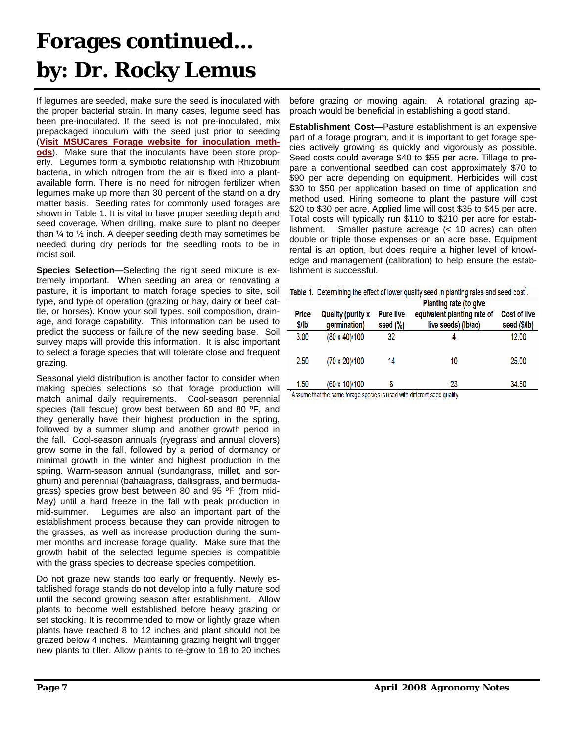## **Forages continued… by: Dr. Rocky Lemus**

If legumes are seeded, make sure the seed is inoculated with the proper bacterial strain. In many cases, legume seed has been pre-inoculated. If the seed is not pre-inoculated, mix prepackaged inoculum with the seed just prior to seeding (**Visit MSUCares Forage website for inoculation methods**). Make sure that the inoculants have been store properly. Legumes form a symbiotic relationship with Rhizobium bacteria, in which nitrogen from the air is fixed into a plantavailable form. There is no need for nitrogen fertilizer when legumes make up more than 30 percent of the stand on a dry matter basis. Seeding rates for commonly used forages are shown in Table 1. It is vital to have proper seeding depth and seed coverage. When drilling, make sure to plant no deeper than  $\frac{1}{4}$  to  $\frac{1}{2}$  inch. A deeper seeding depth may sometimes be needed during dry periods for the seedling roots to be in moist soil.

**Species Selection—**Selecting the right seed mixture is extremely important. When seeding an area or renovating a pasture, it is important to match forage species to site, soil type, and type of operation (grazing or hay, dairy or beef cattle, or horses). Know your soil types, soil composition, drainage, and forage capability. This information can be used to predict the success or failure of the new seeding base. Soil survey maps will provide this information. It is also important to select a forage species that will tolerate close and frequent grazing.

Seasonal yield distribution is another factor to consider when making species selections so that forage production will match animal daily requirements. Cool-season perennial species (tall fescue) grow best between 60 and 80 °F, and they generally have their highest production in the spring, followed by a summer slump and another growth period in the fall. Cool-season annuals (ryegrass and annual clovers) grow some in the fall, followed by a period of dormancy or minimal growth in the winter and highest production in the spring. Warm-season annual (sundangrass, millet, and sorghum) and perennial (bahaiagrass, dallisgrass, and bermudagrass) species grow best between 80 and 95 °F (from mid-May) until a hard freeze in the fall with peak production in mid-summer. Legumes are also an important part of the establishment process because they can provide nitrogen to the grasses, as well as increase production during the summer months and increase forage quality. Make sure that the growth habit of the selected legume species is compatible with the grass species to decrease species competition.

Do not graze new stands too early or frequently. Newly established forage stands do not develop into a fully mature sod until the second growing season after establishment. Allow plants to become well established before heavy grazing or set stocking. It is recommended to mow or lightly graze when plants have reached 8 to 12 inches and plant should not be grazed below 4 inches. Maintaining grazing height will trigger new plants to tiller. Allow plants to re-grow to 18 to 20 inches

before grazing or mowing again. A rotational grazing approach would be beneficial in establishing a good stand.

**Establishment Cost—**Pasture establishment is an expensive part of a forage program, and it is important to get forage species actively growing as quickly and vigorously as possible. Seed costs could average \$40 to \$55 per acre. Tillage to prepare a conventional seedbed can cost approximately \$70 to \$90 per acre depending on equipment. Herbicides will cost \$30 to \$50 per application based on time of application and method used. Hiring someone to plant the pasture will cost \$20 to \$30 per acre. Applied lime will cost \$35 to \$45 per acre. Total costs will typically run \$110 to \$210 per acre for establishment. Smaller pasture acreage (< 10 acres) can often double or triple those expenses on an acre base. Equipment rental is an option, but does require a higher level of knowledge and management (calibration) to help ensure the establishment is successful.

|       | Table 1. Determining the effect of lower quality seed in planting rates and seed cost <sup>1</sup> . |                  |                             |                     |  |  |  |  |  |  |  |  |
|-------|------------------------------------------------------------------------------------------------------|------------------|-----------------------------|---------------------|--|--|--|--|--|--|--|--|
|       | <b>Planting rate (to give</b>                                                                        |                  |                             |                     |  |  |  |  |  |  |  |  |
| Price | <b>Quality (purity x</b>                                                                             | <b>Pure live</b> | equivalent planting rate of | <b>Cost of live</b> |  |  |  |  |  |  |  |  |
| \$/lb | germination)                                                                                         | seed $(\%)$      | live seeds) (lb/ac)         | seed (\$/lb)        |  |  |  |  |  |  |  |  |
| 3.00  | (80 x 40)/100                                                                                        | 32               | 4                           | 12.00               |  |  |  |  |  |  |  |  |
| 2.50  | (70 x 20)/100                                                                                        | 14               | 10                          | 25.00               |  |  |  |  |  |  |  |  |
| 1.50  | (60 x 10)/100                                                                                        | 6                | 23                          | 34.50               |  |  |  |  |  |  |  |  |

Assume that the same forage species is used with different seed quality.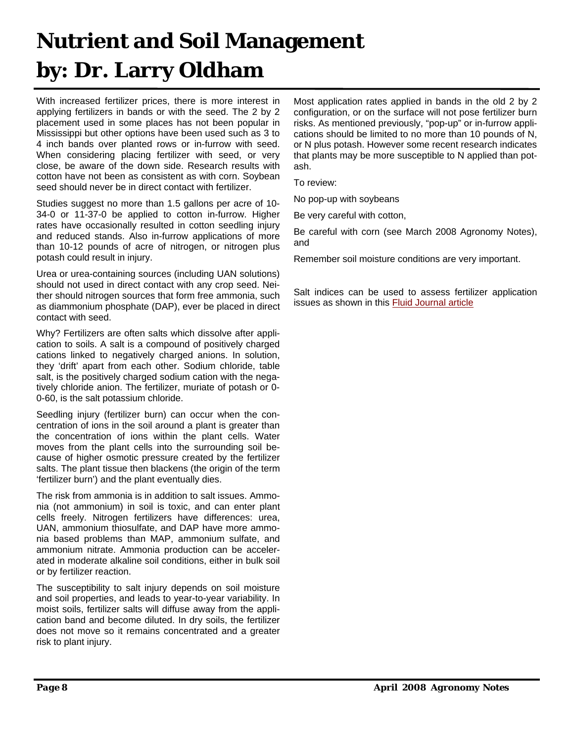## **Nutrient and Soil Management by: Dr. Larry Oldham**

With increased fertilizer prices, there is more interest in applying fertilizers in bands or with the seed. The 2 by 2 placement used in some places has not been popular in Mississippi but other options have been used such as 3 to 4 inch bands over planted rows or in-furrow with seed. When considering placing fertilizer with seed, or very close, be aware of the down side. Research results with cotton have not been as consistent as with corn. Soybean seed should never be in direct contact with fertilizer.

Studies suggest no more than 1.5 gallons per acre of 10- 34-0 or 11-37-0 be applied to cotton in-furrow. Higher rates have occasionally resulted in cotton seedling injury and reduced stands. Also in-furrow applications of more than 10-12 pounds of acre of nitrogen, or nitrogen plus potash could result in injury.

Urea or urea-containing sources (including UAN solutions) should not used in direct contact with any crop seed. Neither should nitrogen sources that form free ammonia, such as diammonium phosphate (DAP), ever be placed in direct contact with seed.

Why? Fertilizers are often salts which dissolve after application to soils. A salt is a compound of positively charged cations linked to negatively charged anions. In solution, they 'drift' apart from each other. Sodium chloride, table salt, is the positively charged sodium cation with the negatively chloride anion. The fertilizer, muriate of potash or 0- 0-60, is the salt potassium chloride.

Seedling injury (fertilizer burn) can occur when the concentration of ions in the soil around a plant is greater than the concentration of ions within the plant cells. Water moves from the plant cells into the surrounding soil because of higher osmotic pressure created by the fertilizer salts. The plant tissue then blackens (the origin of the term 'fertilizer burn') and the plant eventually dies.

The risk from ammonia is in addition to salt issues. Ammonia (not ammonium) in soil is toxic, and can enter plant cells freely. Nitrogen fertilizers have differences: urea, UAN, ammonium thiosulfate, and DAP have more ammonia based problems than MAP, ammonium sulfate, and ammonium nitrate. Ammonia production can be accelerated in moderate alkaline soil conditions, either in bulk soil or by fertilizer reaction.

The susceptibility to salt injury depends on soil moisture and soil properties, and leads to year-to-year variability. In moist soils, fertilizer salts will diffuse away from the application band and become diluted. In dry soils, the fertilizer does not move so it remains concentrated and a greater risk to plant injury.

Most application rates applied in bands in the old 2 by 2 configuration, or on the surface will not pose fertilizer burn risks. As mentioned previously, "pop-up" or in-furrow applications should be limited to no more than 10 pounds of N, or N plus potash. However some recent research indicates that plants may be more susceptible to N applied than potash.

To review:

No pop-up with soybeans

Be very careful with cotton,

Be careful with corn (see March 2008 Agronomy Notes), and

Remember soil moisture conditions are very important.

Salt indices can be used to assess fertilizer application issues as shown in this **Fluid Journal article**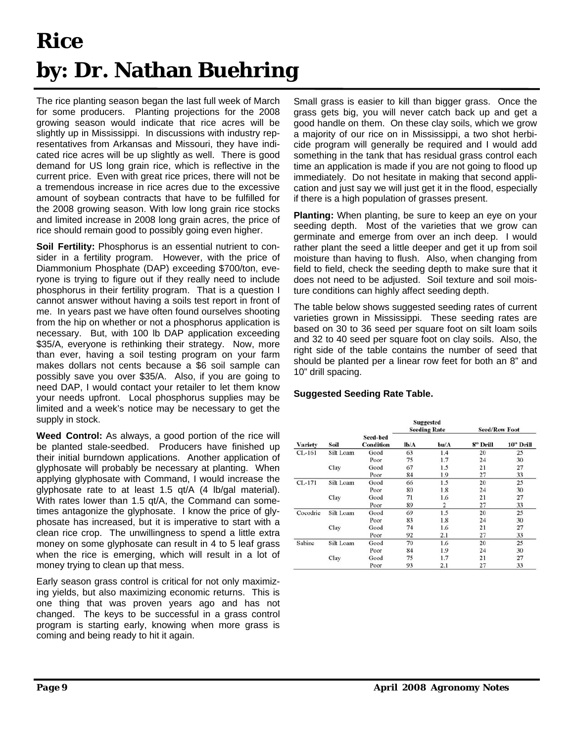# **Rice by: Dr. Nathan Buehring**

The rice planting season began the last full week of March for some producers. Planting projections for the 2008 growing season would indicate that rice acres will be slightly up in Mississippi. In discussions with industry representatives from Arkansas and Missouri, they have indicated rice acres will be up slightly as well. There is good demand for US long grain rice, which is reflective in the current price. Even with great rice prices, there will not be a tremendous increase in rice acres due to the excessive amount of soybean contracts that have to be fulfilled for the 2008 growing season. With low long grain rice stocks and limited increase in 2008 long grain acres, the price of rice should remain good to possibly going even higher.

**Soil Fertility:** Phosphorus is an essential nutrient to consider in a fertility program. However, with the price of Diammonium Phosphate (DAP) exceeding \$700/ton, everyone is trying to figure out if they really need to include phosphorus in their fertility program. That is a question I cannot answer without having a soils test report in front of me. In years past we have often found ourselves shooting from the hip on whether or not a phosphorus application is necessary. But, with 100 lb DAP application exceeding \$35/A, everyone is rethinking their strategy. Now, more than ever, having a soil testing program on your farm makes dollars not cents because a \$6 soil sample can possibly save you over \$35/A. Also, if you are going to need DAP, I would contact your retailer to let them know your needs upfront. Local phosphorus supplies may be limited and a week's notice may be necessary to get the supply in stock.

**Weed Control:** As always, a good portion of the rice will be planted stale-seedbed. Producers have finished up their initial burndown applications. Another application of glyphosate will probably be necessary at planting. When applying glyphosate with Command, I would increase the glyphosate rate to at least 1.5 qt/A (4 lb/gal material). With rates lower than 1.5 qt/A, the Command can sometimes antagonize the glyphosate. I know the price of glyphosate has increased, but it is imperative to start with a clean rice crop. The unwillingness to spend a little extra money on some glyphosate can result in 4 to 5 leaf grass when the rice is emerging, which will result in a lot of money trying to clean up that mess.

Early season grass control is critical for not only maximizing yields, but also maximizing economic returns. This is one thing that was proven years ago and has not changed. The keys to be successful in a grass control program is starting early, knowing when more grass is coming and being ready to hit it again.

Small grass is easier to kill than bigger grass. Once the grass gets big, you will never catch back up and get a good handle on them. On these clay soils, which we grow a majority of our rice on in Mississippi, a two shot herbicide program will generally be required and I would add something in the tank that has residual grass control each time an application is made if you are not going to flood up immediately. Do not hesitate in making that second application and just say we will just get it in the flood, especially if there is a high population of grasses present.

**Planting:** When planting, be sure to keep an eye on your seeding depth. Most of the varieties that we grow can germinate and emerge from over an inch deep. I would rather plant the seed a little deeper and get it up from soil moisture than having to flush. Also, when changing from field to field, check the seeding depth to make sure that it does not need to be adjusted. Soil texture and soil moisture conditions can highly affect seeding depth.

The table below shows suggested seeding rates of current varieties grown in Mississippi. These seeding rates are based on 30 to 36 seed per square foot on silt loam soils and 32 to 40 seed per square foot on clay soils. Also, the right side of the table contains the number of seed that should be planted per a linear row feet for both an 8" and 10" drill spacing.

### **Suggested Seeding Rate Table.**

|                       |           |                              | <b>Suggested</b><br><b>Seeding Rate</b> | <b>Seed/Row Foot</b> |          |           |  |
|-----------------------|-----------|------------------------------|-----------------------------------------|----------------------|----------|-----------|--|
| <b>Variety</b>        | Soil      | Seed-bed<br><b>Condition</b> | lb/A                                    | bu/A                 | 8" Drill | 10" Drill |  |
| $CL-161$              | Silt Loam | Good                         | 63                                      | 1.4                  | 20       | 25        |  |
|                       |           | Poor                         | 75                                      | 1.7                  | 24       | 30        |  |
|                       | Clay      | Good                         | 67                                      | 1.5                  | 21       | 27        |  |
|                       |           | Poor                         | 84                                      | 1.9                  | 27       | 33        |  |
| $CL-171$<br>Silt Loam | Good      | 66                           | 1.5                                     | 20                   | 25       |           |  |
|                       |           | Poor                         | 80                                      | 1.8                  | 24       | 30        |  |
|                       | Clay      | Good                         | 71                                      | 1.6                  | 21       | 27        |  |
|                       |           | Poor                         | 89                                      | 2                    | 27       | 33        |  |
| Cocodrie              | Silt Loam | Good                         | 69                                      | 1.5                  | 20       | 25        |  |
|                       |           | Poor                         | 83                                      | 1.8                  | 24       | 30        |  |
|                       | Clay      | Good                         | 74                                      | 1.6                  | 21       | 27        |  |
|                       |           | Poor                         | 92                                      | 2.1                  | 27       | 33        |  |
| Sabine                | Silt Loam | Good                         | 70                                      | 1.6                  | 20       | 25        |  |
|                       |           | Poor                         | 84                                      | 1.9                  | 24       | 30        |  |
|                       | Clay      | Good                         | 75                                      | 1.7                  | 21       | 27        |  |
|                       |           | Poor                         | 93                                      | 2.1                  | 27       | 33        |  |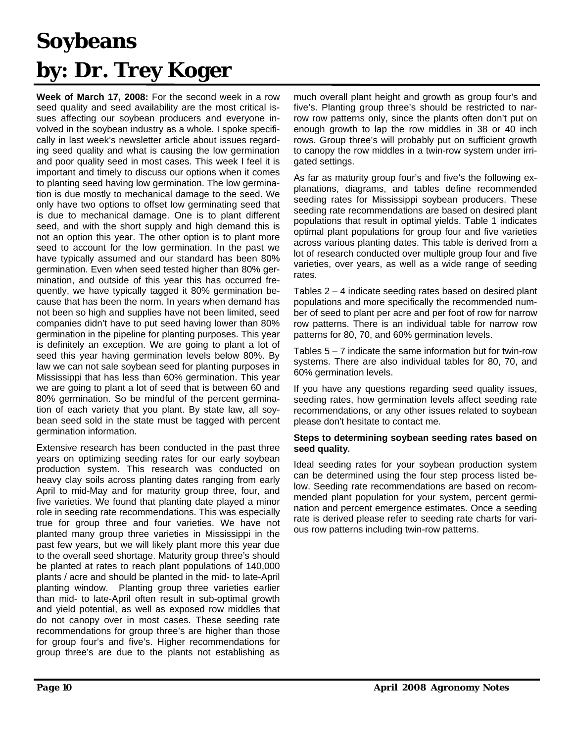# **Soybeans by: Dr. Trey Koger**

**Week of March 17, 2008:** For the second week in a row seed quality and seed availability are the most critical issues affecting our soybean producers and everyone involved in the soybean industry as a whole. I spoke specifically in last week's newsletter article about issues regarding seed quality and what is causing the low germination and poor quality seed in most cases. This week I feel it is important and timely to discuss our options when it comes to planting seed having low germination. The low germination is due mostly to mechanical damage to the seed. We only have two options to offset low germinating seed that is due to mechanical damage. One is to plant different seed, and with the short supply and high demand this is not an option this year. The other option is to plant more seed to account for the low germination. In the past we have typically assumed and our standard has been 80% germination. Even when seed tested higher than 80% germination, and outside of this year this has occurred frequently, we have typically tagged it 80% germination because that has been the norm. In years when demand has not been so high and supplies have not been limited, seed companies didn't have to put seed having lower than 80% germination in the pipeline for planting purposes. This year is definitely an exception. We are going to plant a lot of seed this year having germination levels below 80%. By law we can not sale soybean seed for planting purposes in Mississippi that has less than 60% germination. This year we are going to plant a lot of seed that is between 60 and 80% germination. So be mindful of the percent germination of each variety that you plant. By state law, all soybean seed sold in the state must be tagged with percent germination information.

Extensive research has been conducted in the past three years on optimizing seeding rates for our early soybean production system. This research was conducted on heavy clay soils across planting dates ranging from early April to mid-May and for maturity group three, four, and five varieties. We found that planting date played a minor role in seeding rate recommendations. This was especially true for group three and four varieties. We have not planted many group three varieties in Mississippi in the past few years, but we will likely plant more this year due to the overall seed shortage. Maturity group three's should be planted at rates to reach plant populations of 140,000 plants / acre and should be planted in the mid- to late-April planting window. Planting group three varieties earlier than mid- to late-April often result in sub-optimal growth and yield potential, as well as exposed row middles that do not canopy over in most cases. These seeding rate recommendations for group three's are higher than those for group four's and five's. Higher recommendations for group three's are due to the plants not establishing as much overall plant height and growth as group four's and five's. Planting group three's should be restricted to narrow row patterns only, since the plants often don't put on enough growth to lap the row middles in 38 or 40 inch rows. Group three's will probably put on sufficient growth to canopy the row middles in a twin-row system under irrigated settings.

As far as maturity group four's and five's the following explanations, diagrams, and tables define recommended seeding rates for Mississippi soybean producers. These seeding rate recommendations are based on desired plant populations that result in optimal yields. Table 1 indicates optimal plant populations for group four and five varieties across various planting dates. This table is derived from a lot of research conducted over multiple group four and five varieties, over years, as well as a wide range of seeding rates.

Tables 2 – 4 indicate seeding rates based on desired plant populations and more specifically the recommended number of seed to plant per acre and per foot of row for narrow row patterns. There is an individual table for narrow row patterns for 80, 70, and 60% germination levels.

Tables  $5 - 7$  indicate the same information but for twin-row systems. There are also individual tables for 80, 70, and 60% germination levels.

If you have any questions regarding seed quality issues, seeding rates, how germination levels affect seeding rate recommendations, or any other issues related to soybean please don't hesitate to contact me.

#### **Steps to determining soybean seeding rates based on seed quality.**

Ideal seeding rates for your soybean production system can be determined using the four step process listed below. Seeding rate recommendations are based on recommended plant population for your system, percent germination and percent emergence estimates. Once a seeding rate is derived please refer to seeding rate charts for various row patterns including twin-row patterns.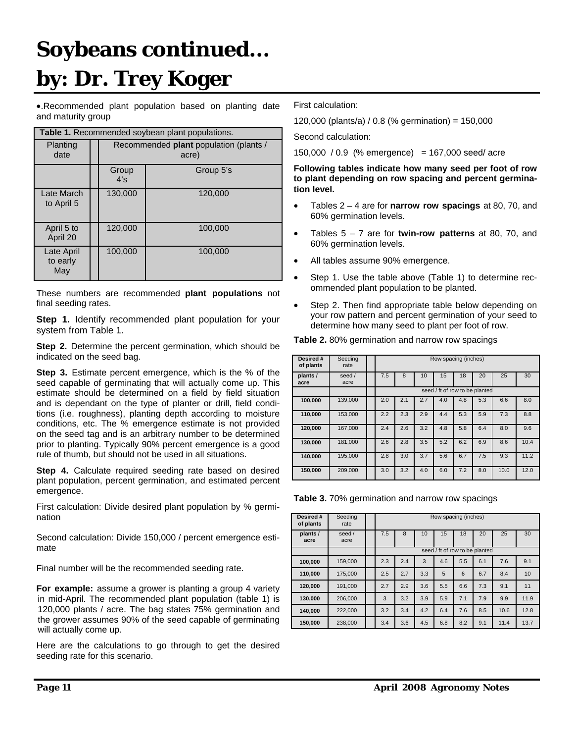# **Soybeans continued... by: Dr. Trey Koger**

•.Recommended plant population based on planting date and maturity group

| Table 1. Recommended soybean plant populations. |              |                                                        |  |  |  |  |  |  |  |  |
|-------------------------------------------------|--------------|--------------------------------------------------------|--|--|--|--|--|--|--|--|
| Planting<br>date                                |              | Recommended <b>plant</b> population (plants /<br>acre) |  |  |  |  |  |  |  |  |
|                                                 | Group<br>4's | Group 5's                                              |  |  |  |  |  |  |  |  |
| Late March<br>to April 5                        | 130,000      | 120,000                                                |  |  |  |  |  |  |  |  |
| April 5 to<br>April 20                          | 120,000      | 100,000                                                |  |  |  |  |  |  |  |  |
| Late April<br>to early<br>May                   | 100,000      | 100,000                                                |  |  |  |  |  |  |  |  |

These numbers are recommended **plant populations** not final seeding rates.

**Step 1.** Identify recommended plant population for your system from Table 1.

**Step 2.** Determine the percent germination, which should be indicated on the seed bag.

**Step 3.** Estimate percent emergence, which is the % of the seed capable of germinating that will actually come up. This estimate should be determined on a field by field situation and is dependant on the type of planter or drill, field conditions (i.e. roughness), planting depth according to moisture conditions, etc. The % emergence estimate is not provided on the seed tag and is an arbitrary number to be determined prior to planting. Typically 90% percent emergence is a good rule of thumb, but should not be used in all situations.

**Step 4.** Calculate required seeding rate based on desired plant population, percent germination, and estimated percent emergence.

First calculation: Divide desired plant population by % germination

Second calculation: Divide 150,000 / percent emergence estimate

Final number will be the recommended seeding rate.

**For example:** assume a grower is planting a group 4 variety in mid-April. The recommended plant population (table 1) is 120,000 plants / acre. The bag states 75% germination and the grower assumes 90% of the seed capable of germinating will actually come up.

Here are the calculations to go through to get the desired seeding rate for this scenario.

First calculation:

120,000 (plants/a) / 0.8 (% germination) = 150,000

Second calculation:

150,000 / 0.9 (% emergence) = 167,000 seed/ acre

**Following tables indicate how many seed per foot of row to plant depending on row spacing and percent germination level.** 

- Tables 2 4 are for **narrow row spacings** at 80, 70, and 60% germination levels.
- Tables 5 7 are for **twin-row patterns** at 80, 70, and 60% germination levels.
- All tables assume 90% emergence.
- Step 1. Use the table above (Table 1) to determine recommended plant population to be planted.
- Step 2. Then find appropriate table below depending on your row pattern and percent germination of your seed to determine how many seed to plant per foot of row.

| <b>Table 2.</b> 80% germination and narrow row spacings |  |  |  |
|---------------------------------------------------------|--|--|--|
|---------------------------------------------------------|--|--|--|

| Desired #<br>of plants | Seeding<br>rate | Row spacing (inches) |                                       |     |     |     |                                |      |      |  |  |
|------------------------|-----------------|----------------------|---------------------------------------|-----|-----|-----|--------------------------------|------|------|--|--|
| plants /<br>acre       | seed /<br>acre  | 7.5                  | 15<br>18<br>20<br>25<br>30<br>8<br>10 |     |     |     |                                |      |      |  |  |
|                        |                 |                      |                                       |     |     |     | seed / ft of row to be planted |      |      |  |  |
| 100,000                | 139,000         | 2.0                  | 2.1                                   | 2.7 | 4.0 | 4.8 | 5.3                            | 6.6  | 8.0  |  |  |
| 110,000                | 153,000         | 2.2                  | 2.3                                   | 2.9 | 4.4 | 5.3 | 5.9                            | 7.3  | 8.8  |  |  |
| 120,000                | 167.000         | 2.4                  | 2.6                                   | 3.2 | 4.8 | 5.8 | 6.4                            | 8.0  | 9.6  |  |  |
| 130,000                | 181,000         | 2.6                  | 2.8                                   | 3.5 | 5.2 | 6.2 | 6.9                            | 8.6  | 10.4 |  |  |
| 140.000                | 195,000         | 2.8                  | 3.0                                   | 3.7 | 5.6 | 6.7 | 7.5                            | 9.3  | 11.2 |  |  |
| 150,000                | 209,000         | 3.0                  | 3.2                                   | 4.0 | 6.0 | 7.2 | 8.0                            | 10.0 | 12.0 |  |  |

**Table 3.** 70% germination and narrow row spacings

| Desired #<br>of plants | Seeding<br>rate | Row spacing (inches) |                                       |     |     |     |                                |      |      |  |  |
|------------------------|-----------------|----------------------|---------------------------------------|-----|-----|-----|--------------------------------|------|------|--|--|
| plants /<br>acre       | seed /<br>acre  | 7.5                  | 15<br>18<br>20<br>25<br>10<br>30<br>8 |     |     |     |                                |      |      |  |  |
|                        |                 |                      |                                       |     |     |     | seed / ft of row to be planted |      |      |  |  |
| 100,000                | 159,000         | 2.3                  | 2.4                                   | 3   | 4.6 | 5.5 | 6.1                            | 7.6  | 9.1  |  |  |
| 110,000                | 175.000         | 2.5                  | 2.7                                   | 3.3 | 5   | 6   | 6.7                            | 8.4  | 10   |  |  |
| 120,000                | 191,000         | 2.7                  | 2.9                                   | 3.6 | 5.5 | 6.6 | 7.3                            | 9.1  | 11   |  |  |
| 130,000                | 206,000         | 3                    | 3.2                                   | 3.9 | 5.9 | 7.1 | 7.9                            | 9.9  | 11.9 |  |  |
| 140,000                | 222,000         | 3.2                  | 3.4                                   | 4.2 | 6.4 | 7.6 | 8.5                            | 10.6 | 12.8 |  |  |
| 150,000                | 238,000         | 3.4                  | 3.6                                   | 4.5 | 6.8 | 8.2 | 9.1                            | 11.4 | 13.7 |  |  |